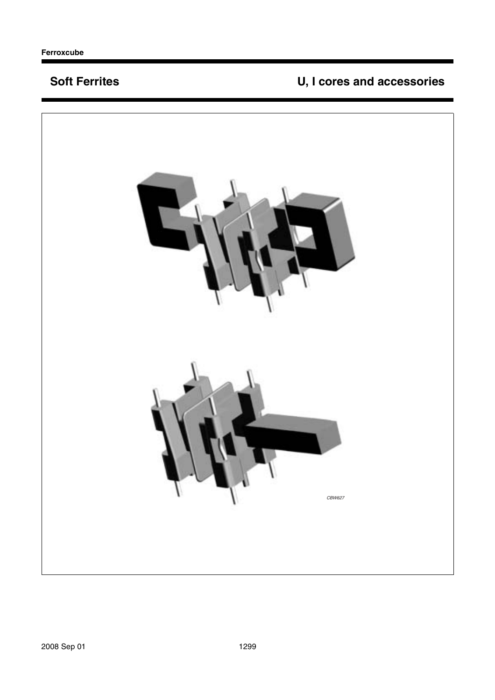## **Soft Ferrites**

# U, I cores and accessories